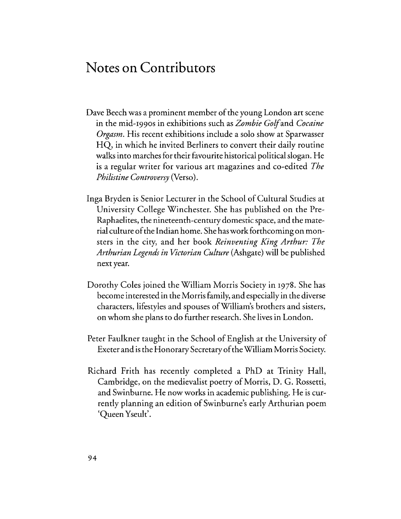## **Notes on Contributors**

- Dave Beech was a prominent member of the young London art scene in the mid-1990s in exhibitions such as *Zombie* Golfand *Cocaine Orgasm.* His recent exhibitions include a solo show at Sparwasser HQ, in which he invited Berliners to convert their daily routine walks into marches for their favourite historical political slogan. He is a regular writer for various art magazines and co-edited *The Philistine Controversy* (Verso).
- Inga Bryden is Senior Lecturer in the School of Cultural Studies at University College Winchester. She has published on the Pre-Raphaelites, the nineteenth-century domestic space, and the material culture of the Indian home. She has work forthcoming on monsters in the city, and her book *Reinventing King Arthur: The Arthurian Legends in Victorian Culture* (Ashgate) will be published next year.
- Dorothy Coles joined the William Morris Society in 1978. She has become interested in the Morris family, and especially in the diverse characters, lifestyles and spouses ofWilliam's brothers and sisters, on whom she plans to do further research. She lives in London.
- Peter Faulkner taught in the School of English at the University of Exeter and is the Honorary Secretary of the William Morris Society.
- Richard Frith has recently completed a PhD at Trinity Hall, Cambridge, on the medievalist poetry of Morris, D. G. Rossetti, and Swinburne. He now works in academic publishing. He is currently planning an edition of Swinburne's early Arthurian poem 'Queen Yseult'.